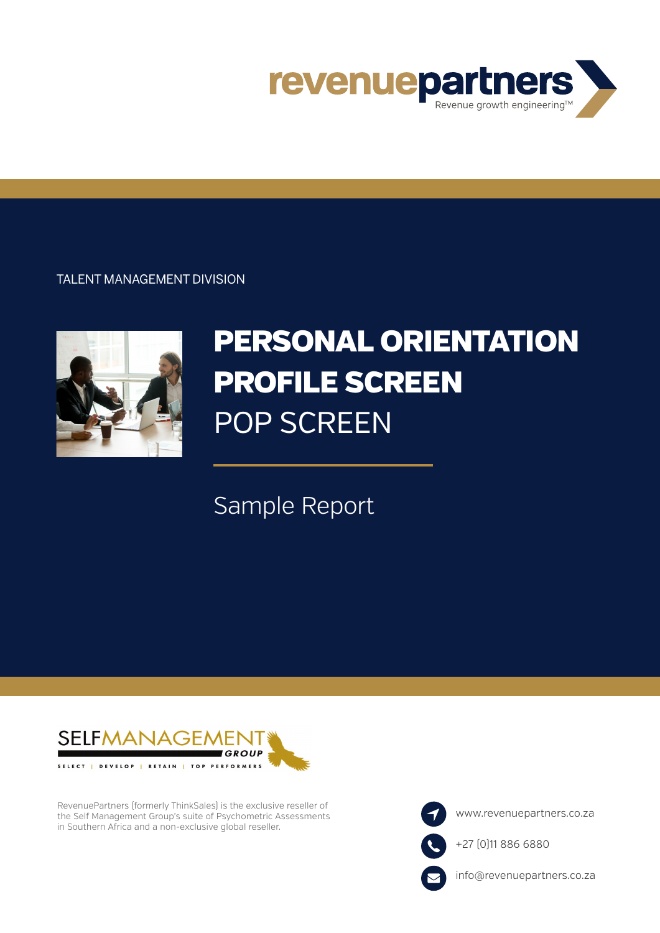

TALENT MANAGEMENT DIVISION



# PERSONAL ORIENTATION PROFILE SCREEN POP SCREEN

## Sample Report



RevenuePartners (formerly ThinkSales) is the exclusive reseller of the Self Management Group's suite of Psychometric Assessments in Southern Africa and a non-exclusive global reseller.

www.revenuepartners.co.za

+27 (0)11 886 6880



info@revenuepartners.co.za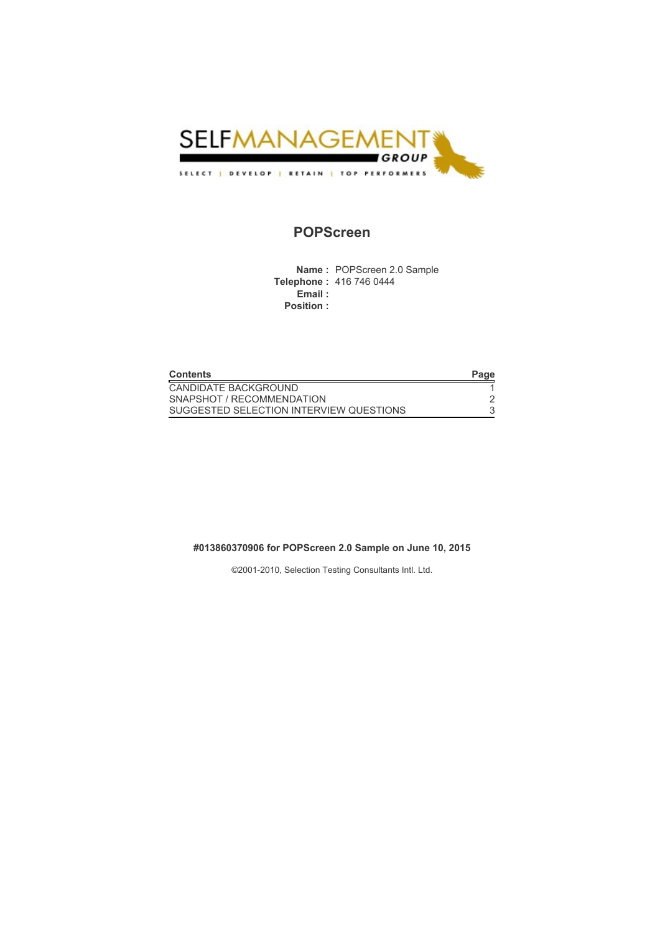

### POPScreen

Name : POPScreen 2.0 Sample Telephone : 416 746 0444 .<br>Email : Position :

| <b>Contents</b>                         | Page |
|-----------------------------------------|------|
| CANDIDATE BACKGROUND                    |      |
| SNAPSHOT / RECOMMENDATION               |      |
| SUGGESTED SELECTION INTERVIEW QUESTIONS |      |

#### #013860370906 for POPScreen 2.0 Sample on June 10, 2015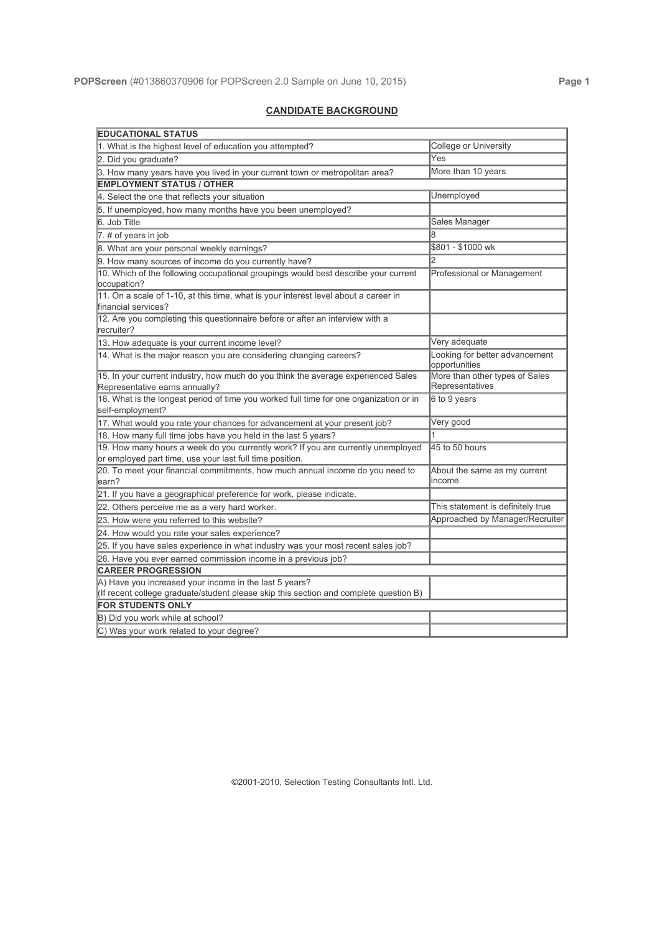#### CANDIDATE BACKGROUND

| <b>EDUCATIONAL STATUS</b>                                                               |                                                 |  |
|-----------------------------------------------------------------------------------------|-------------------------------------------------|--|
| 1. What is the highest level of education you attempted?                                | College or University                           |  |
| 2. Did you graduate?                                                                    | Yes                                             |  |
| 3. How many years have you lived in your current town or metropolitan area?             | More than 10 years                              |  |
| <b>EMPLOYMENT STATUS / OTHER</b>                                                        |                                                 |  |
| 4. Select the one that reflects your situation                                          | Unemployed                                      |  |
| 5. If unemployed, how many months have you been unemployed?                             |                                                 |  |
| 6. Job Title                                                                            | Sales Manager                                   |  |
| $7.$ # of years in job                                                                  |                                                 |  |
| 8. What are your personal weekly earnings?                                              | \$801 - \$1000 wk                               |  |
| 9. How many sources of income do you currently have?                                    | 2                                               |  |
| 10. Which of the following occupational groupings would best describe your current      | Professional or Management                      |  |
| occupation?                                                                             |                                                 |  |
| 11. On a scale of 1-10, at this time, what is your interest level about a career in     |                                                 |  |
| financial services?                                                                     |                                                 |  |
| 12. Are you completing this questionnaire before or after an interview with a           |                                                 |  |
| recruiter?                                                                              |                                                 |  |
| 13. How adequate is your current income level?                                          | Very adequate                                   |  |
| 14. What is the major reason you are considering changing careers?                      | Looking for better advancement<br>opportunities |  |
| 15. In your current industry, how much do you think the average experienced Sales       | More than other types of Sales                  |  |
| Representative earns annually?                                                          | Representatives                                 |  |
| 16. What is the longest period of time you worked full time for one organization or in  | 6 to 9 years                                    |  |
| self-employment?                                                                        |                                                 |  |
| 17. What would you rate your chances for advancement at your present job?               | Very good                                       |  |
| 18. How many full time jobs have you held in the last 5 years?                          |                                                 |  |
| 19. How many hours a week do you currently work? If you are currently unemployed        | 45 to 50 hours                                  |  |
| or employed part time, use your last full time position.                                |                                                 |  |
| 20. To meet your financial commitments, how much annual income do you need to<br>learn? | About the same as my current<br>income          |  |
|                                                                                         |                                                 |  |
| 21. If you have a geographical preference for work, please indicate.                    | This statement is definitely true               |  |
| 22. Others perceive me as a very hard worker.                                           | Approached by Manager/Recruiter                 |  |
| 23. How were you referred to this website?                                              |                                                 |  |
| 24. How would you rate your sales experience?                                           |                                                 |  |
| 25. If you have sales experience in what industry was your most recent sales job?       |                                                 |  |
| 26. Have you ever earned commission income in a previous job?                           |                                                 |  |
| <b>CAREER PROGRESSION</b>                                                               |                                                 |  |
| A) Have you increased your income in the last 5 years?                                  |                                                 |  |
| (If recent college graduate/student please skip this section and complete question B)   |                                                 |  |
| <b>FOR STUDENTS ONLY</b>                                                                |                                                 |  |
| B) Did you work while at school?                                                        |                                                 |  |
| C) Was your work related to your degree?                                                |                                                 |  |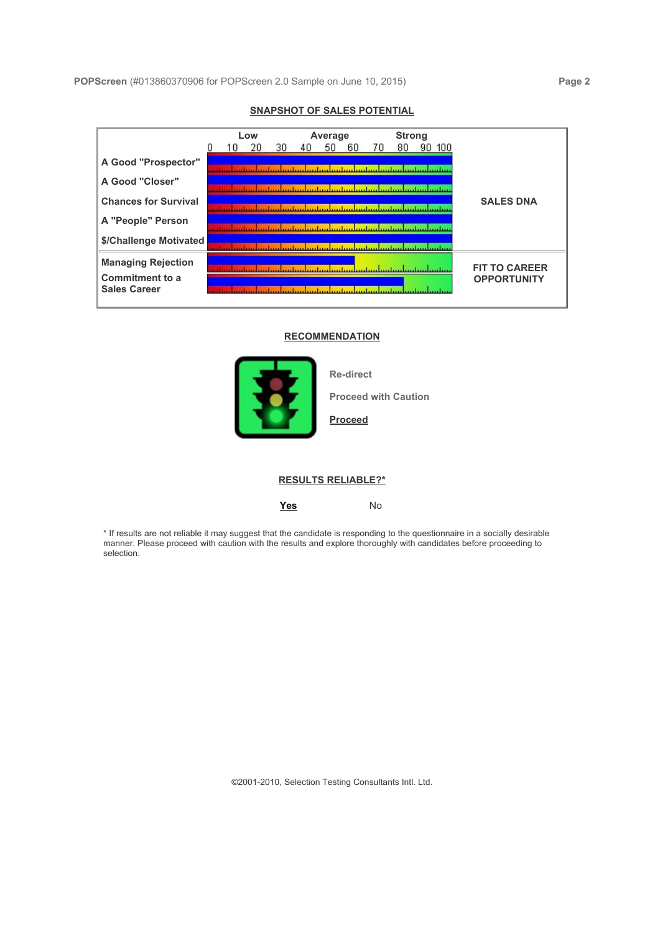#### Low Average Strong  $\Omega$ 10 20 30 70 A Good "Prospector" minn <mark>mahm mahm mahm mahm mahm mahm mah</mark>m A Good "Closer" <u>an tan kacamatan kacamatan kacamatan kecamatan </u> SALES DNA Chances for Survival <u>an dan Pangaran Kabupatén Kabupatén Pakaran Pawisian IPI</u> A "People" Person milion Mallan, <mark>an laid karlam malam malam mala</mark> \$/Challenge Motivated <u>an kathara kwa kwa kuthani kuthani kuthani kwa kwa kwa kwa kwa k</u> Managing Rejection **Figure 2019**<br>Commitment to a **FIT TO CAREER OPPORTUNITY** Sales Career

#### SNAPSHOT OF SALES POTENTIAL

#### **RECOMMENDATION**



Re-direct

Proceed with Caution

#### Proceed

#### RESULTS RELIABLE?\*

#### Yes No

\* If results are not reliable it may suggest that the candidate is responding to the questionnaire in a socially desirable manner. Please proceed with caution with the results and explore thoroughly with candidates before proceeding to selection.